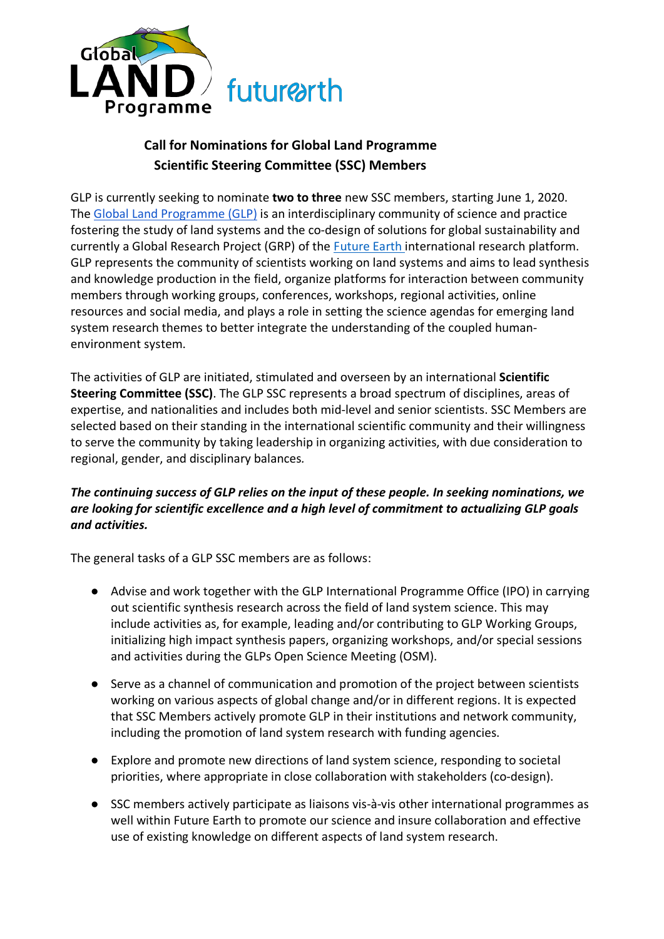

## **Call for Nominations for Global Land Programme Scientific Steering Committee (SSC) Members**

GLP is currently seeking to nominate **two to three** new SSC members, starting June 1, 2020. The Global Land Programme (GLP) is an interdisciplinary community of science and practice fostering the study of land systems and the co-design of solutions for global sustainability and currently a Global Research Project (GRP) of the Future Earth international research platform. GLP represents the community of scientists working on land systems and aims to lead synthesis and knowledge production in the field, organize platforms for interaction between community members through working groups, conferences, workshops, regional activities, online resources and social media, and plays a role in setting the science agendas for emerging land system research themes to better integrate the understanding of the coupled humanenvironment system.

The activities of GLP are initiated, stimulated and overseen by an international **Scientific Steering Committee (SSC)**. The GLP SSC represents a broad spectrum of disciplines, areas of expertise, and nationalities and includes both mid-level and senior scientists. SSC Members are selected based on their standing in the international scientific community and their willingness to serve the community by taking leadership in organizing activities, with due consideration to regional, gender, and disciplinary balances*.*

## *The continuing success of GLP relies on the input of these people. In seeking nominations, we are looking for scientific excellence and a high level of commitment to actualizing GLP goals and activities.*

The general tasks of a GLP SSC members are as follows:

- Advise and work together with the GLP International Programme Office (IPO) in carrying out scientific synthesis research across the field of land system science. This may include activities as, for example, leading and/or contributing to GLP Working Groups, initializing high impact synthesis papers, organizing workshops, and/or special sessions and activities during the GLPs Open Science Meeting (OSM).
- Serve as a channel of communication and promotion of the project between scientists working on various aspects of global change and/or in different regions. It is expected that SSC Members actively promote GLP in their institutions and network community, including the promotion of land system research with funding agencies.
- Explore and promote new directions of land system science, responding to societal priorities, where appropriate in close collaboration with stakeholders (co-design).
- SSC members actively participate as liaisons vis-à-vis other international programmes as well within Future Earth to promote our science and insure collaboration and effective use of existing knowledge on different aspects of land system research.